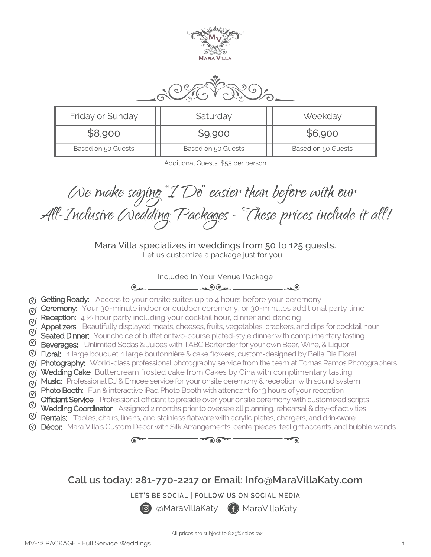



| Friday or Sunday   | Saturday           | Weekday            |
|--------------------|--------------------|--------------------|
| \$8,900            | \$9,900            | \$6,900            |
| Based on 50 Guests | Based on 50 Guests | Based on 50 Guests |

Additional Guests: \$55 per person

We make saying "I Do" easier than before with our<br>All-Inclusive (Nedding Packages - These prices include it all!

Mara Villa specializes in weddings from 50 to 125 guests. Let us customize a package just for you!

Included In Your Venue Package

 $\sim$   $\sim$   $\sim$   $\sim$   $\sim$  $e_{\mu}$ 

- G Getting Ready: Access to your onsite suites up to 4 hours before your ceremony
- $\sigma$  Ceremony: Your 30-minute indoor or outdoor ceremony, or 30-minutes additional party time
- Reception:  $4\frac{1}{2}$  hour party including your cocktail hour, dinner and dancing
- Appetizers: Beautifully displayed meats, cheeses, fruits, vegetables, crackers, and dips for cocktail hour
- Seated Dinner: Your choice of buffet or two-course plated-style dinner with complimentary tasting
- $\mathfrak V$  **Beverages:** Unlimited Sodas & Juices with TABC Bartender for your own Beer, Wine, & Liquor
- $\mathfrak V$  Floral: 1 large bouquet, 1 large boutonnière & cake flowers, custom-designed by Bella Dia Floral
- **(v) Photography:** World-class professional photography service from the team at Tomas Ramos Photographers
- $\sigma$  Wedding Cake: Buttercream frosted cake from Cakes by Gina with complimentary tasting
- $\check{\sigma}$  Music: Professional DJ & Emcee service for your onsite ceremony & reception with sound system
- **Photo Booth:** Fun & interactive iPad Photo Booth with attendant for 3 hours of your reception
- **Officiant Service:** Professional officiant to preside over your onsite ceremony with customized scripts
- Wedding Coordinator: Assigned 2 months prior to oversee all planning, rehearsal & day-of activities
- $\mathfrak V$  **Rentals:** Tables, chairs, linens, and stainless flatware with acrylic plates, chargers, and drinkware
- Décor: Mara Villa's Custom Décor with Silk Arrangements, centerpieces, tealight accents, and bubble wands



**Call us today: 281-770-2217 or Email: Info@MaraVillaKaty.com**

**LET'S BE SOCIAL | FOLLOW US ON SOCIAL MEDIA**

**@** @MaraVillaKaty (f) MaraVillaKaty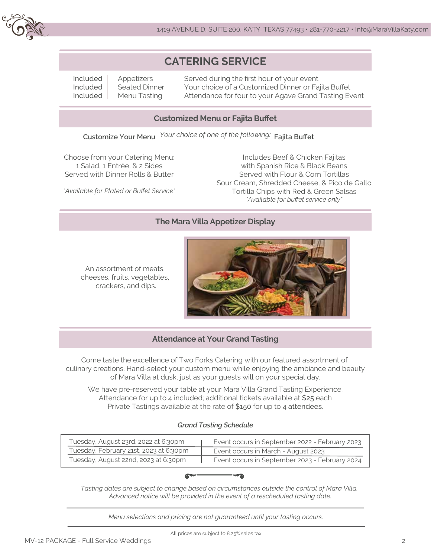

# **CATERING SERVICE**

Included Included Included

Appetizers Seated Dinner Menu Tasting

Served during the first hour of your event Your choice of a Customized Dinner or Fajita Buffet Attendance for four to your Agave Grand Tasting Event

# **Customized Menu or Fajita Buffet**

**Customize Your Menu Fajita Buffet** *Your choice of one of the following:*

Choose from your Catering Menu: 1 Salad, 1 Entrée, & 2 Sides Served with Dinner Rolls & Butter

*\*Available for Plated or Buffet Service\**

Includes Beef & Chicken Fajitas with Spanish Rice & Black Beans Served with Flour & Corn Tortillas Sour Cream, Shredded Cheese, & Pico de Gallo Tortilla Chips with Red & Green Salsas *\*Available for buffet service only\**

# **The Mara Villa Appetizer Display**

An assortment of meats, cheeses, fruits, vegetables, crackers, and dips.



## **Attendance at Your Grand Tasting**

Come taste the excellence of Two Forks Catering with our featured assortment of culinary creations. Hand-select your custom menu while enjoying the ambiance and beauty of Mara Villa at dusk, just as your guests will on your special day.

We have pre-reserved your table at your Mara Villa Grand Tasting Experience. Attendance for up to 4 included; additional tickets available at \$25 each Private Tastings available at the rate of \$150 for up to 4 attendees.

#### *Grand Tasting Schedule*

| Tuesday, August 23rd, 2022 at 6:30pm   | Event occurs in September 2022 - February 2023 |
|----------------------------------------|------------------------------------------------|
| Tuesday, February 21st, 2023 at 6:30pm | Event occurs in March - August 2023            |
| Tuesday, August 22nd, 2023 at 6:30pm   | Event occurs in September 2023 - February 2024 |



*Tasting dates are subject to change based on circumstances outside the control of Mara Villa. Advanced notice will be provided in the event of a rescheduled tasting date.*

*Menu selections and pricing are not guaranteed until your tasting occurs.*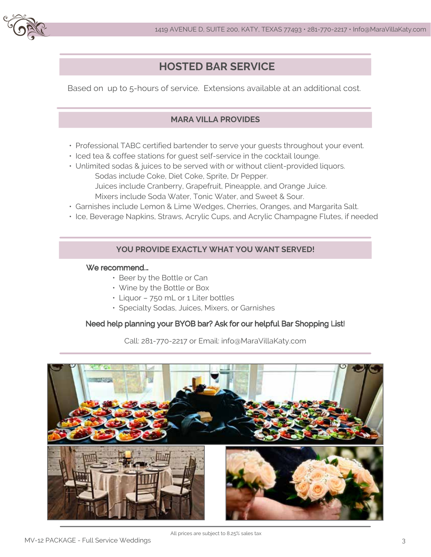

# **HOSTED BAR SERVICE**

Based on up to 5-hours of service. Extensions available at an additional cost.

# **MARA VILLA PROVIDES**

- Professional TABC certified bartender to serve your guests throughout your event.
- Iced tea & coffee stations for guest self-service in the cocktail lounge.
- Unlimited sodas & juices to be served with or without client-provided liquors. Sodas include Coke, Diet Coke, Sprite, Dr Pepper. Juices include Cranberry, Grapefruit, Pineapple, and Orange Juice. Mixers include Soda Water, Tonic Water, and Sweet & Sour.
- Garnishes include Lemon & Lime Wedges, Cherries, Oranges, and Margarita Salt.
- Ice, Beverage Napkins, Straws, Acrylic Cups, and Acrylic Champagne Flutes, if needed

## **YOU PROVIDE EXACTLY WHAT YOU WANT SERVED!**

#### We recommend...

- Beer by the Bottle or Can
- Wine by the Bottle or Box
- Liquor 750 mL or 1 Liter bottles
- Specialty Sodas, Juices, Mixers, or Garnishes

## Need help planning your BYOB bar? Ask for our helpful Bar Shopping List!

Call: 281-770-2217 or Email: info@MaraVillaKaty.com

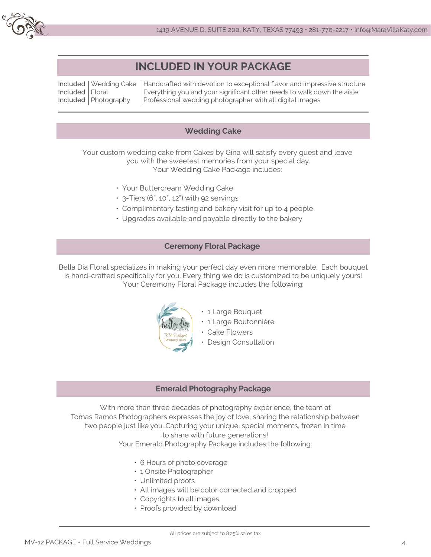

# **INCLUDED IN YOUR PACKAGE**

Included Wedding Cake Included Floral Included Photography

Handcrafted with devotion to exceptional flavor and impressive structure Everything you and your significant other needs to walk down the aisle Professional wedding photographer with all digital images

#### **Wedding Cake**

Your custom wedding cake from Cakes by Gina will satisfy every guest and leave you with the sweetest memories from your special day. Your Wedding Cake Package includes:

- Your Buttercream Wedding Cake
- $\cdot$  3-Tiers (6", 10", 12") with 92 servings
- Complimentary tasting and bakery visit for up to 4 people
- Upgrades available and payable directly to the bakery

#### **Ceremony Floral Package**

Bella Dia Floral specializes in making your perfect day even more memorable. Each bouquet is hand-crafted specifically for you. Every thing we do is customized to be uniquely yours! Your Ceremony Floral Package includes the following:



- 1 Large Bouquet
- 1 Large Boutonnière
- Cake Flowers
- Design Consultation

#### **Emerald Photography Package**

With more than three decades of photography experience, the team at Tomas Ramos Photographers expresses the joy of love, sharing the relationship between two people just like you. Capturing your unique, special moments, frozen in time to share with future generations!

Your Emerald Photography Package includes the following:

- 6 Hours of photo coverage
- 1 Onsite Photographer
- Unlimited proofs
- All images will be color corrected and cropped
- Copyrights to all images
- Proofs provided by download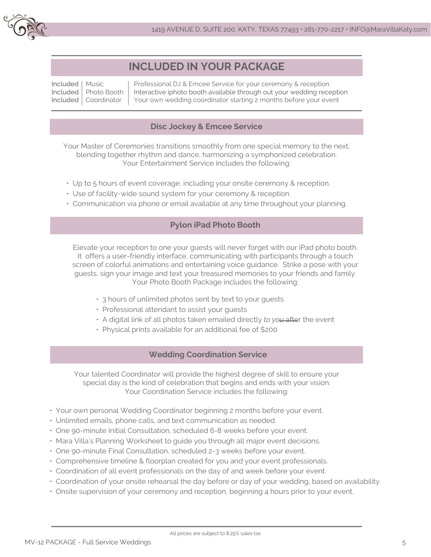

# **INCLUDED IN YOUR PACKAGE**

Included Music Included Included Coordinator Photo Booth

Professional DJ & Emcee Service for your ceremony & reception Interactive iphoto booth available through out your wedding reception Your own wedding coordinator starting 2 months before your event

# **Disc Jockey & Emcee Service**

Your Master of Ceremonies transitions smoothly from one special memory to the next, blending together rhythm and dance, harmonizing a symphonized celebration. Your Entertainment Service includes the following:

- Up to 5 hours of event coverage, including your onsite ceremony & reception.
- Use of facility-wide sound system for your ceremony & reception.
- Communication via phone or email available at any time throughout your planning.

## **Pylon iPad Photo Booth**

Elevate your reception to one your guests will never forget with our iPad photo booth. It offers a user-friendly interface, communicating with participants through a touch screen of colorful animations and entertaining voice guidance. Strike a pose with your guests, sign your image and text your treasured memories to your friends and family. Your Photo Booth Package includes the following:

- 3 hours of unlimited photos sent by text to your guests
- Professional attendant to assist your guests
- A digital link of all photos taken emailed directly *to you* after the event
- Physical prints available for an additional fee of \$200

# **Wedding Coordination Service**

Your talented Coordinator will provide the highest degree of skill to ensure your special day is the kind of celebration that begins and ends with your vision. Your Coordination Service includes the following:

- Your own personal Wedding Coordinator beginning 2 months before your event.
- Unlimited emails, phone calls, and text communication as needed.
- One 90-minute Initial Consultation, scheduled 6-8 weeks before your event.
- Mara Villa's Planning Worksheet to guide you through all major event decisions.
- One 90-minute Final Consultation, scheduled 2-3 weeks before your event.
- Comprehensive timeline & floorplan created for you and your event professionals.
- Coordination of all event professionals on the day of and week before your event.
- Coordination of your onsite rehearsal the day before or day of your wedding, based on availability.
- Onsite supervision of your ceremony and reception, beginning 4 hours prior to your event.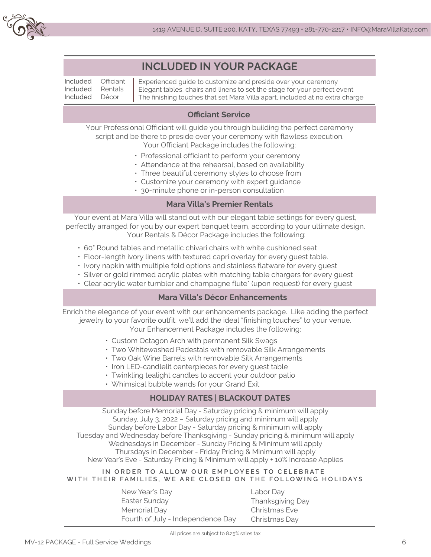

|                                  |                               | <b>INCLUDED IN YOUR PACKAGE</b>                                                                                                                                                                                            |  |
|----------------------------------|-------------------------------|----------------------------------------------------------------------------------------------------------------------------------------------------------------------------------------------------------------------------|--|
| Included<br>Included<br>Included | Officiant<br>Rentals<br>Décor | Experienced guide to customize and preside over your ceremony<br>Elegant tables, chairs and linens to set the stage for your perfect event<br>The finishing touches that set Mara Villa apart, included at no extra charge |  |
| <b>Officiant Service</b>         |                               |                                                                                                                                                                                                                            |  |

#### Your Professional Officiant will guide you through building the perfect ceremony script and be there to preside over your ceremony with flawless execution. Your Officiant Package includes the following:

- Professional officiant to perform your ceremony
- Attendance at the rehearsal, based on availability
- Three beautiful ceremony styles to choose from
- Customize your ceremony with expert guidance
- 30-minute phone or in-person consultation

#### **Mara Villa's Premier Rentals**

Your event at Mara Villa will stand out with our elegant table settings for every guest, perfectly arranged for you by our expert banquet team, according to your ultimate design. Your Rentals & Décor Package includes the following:

- 60" Round tables and metallic chivari chairs with white cushioned seat
- Floor-length ivory linens with textured capri overlay for every guest table.
- Ivory napkin with multiple fold options and stainless flatware for every guest
- Silver or gold rimmed acrylic plates with matching table chargers for every guest
- Clear acrylic water tumbler and champagne flute\* (upon request) for every guest

## **Mara Villa's Décor Enhancements**

Enrich the elegance of your event with our enhancements package. Like adding the perfect jewelry to your favorite outfit, we'll add the ideal "finishing touches" to your venue. Your Enhancement Package includes the following:

- Custom Octagon Arch with permanent Silk Swags
- Two Whitewashed Pedestals with removable Silk Arrangements
- Two Oak Wine Barrels with removable Silk Arrangements
- Iron LED-candlelit centerpieces for every guest table
- Twinkling tealight candles to accent your outdoor patio
- Whimsical bubble wands for your Grand Exit

# **HOLIDAY RATES | BLACKOUT DATES**

Sunday before Memorial Day - Saturday pricing & minimum will apply Sunday, July 3, 2022 – Saturday pricing and minimum will apply Sunday before Labor Day - Saturday pricing & minimum will apply Tuesday and Wednesday before Thanksgiving - Sunday pricing & minimum will apply Wednesdays in December - Sunday Pricing & Minimum will apply Thursdays in December - Friday Pricing & Minimum will apply New Year's Eve - Saturday Pricing & Minimum will apply + 10% Increase Applies

#### **IN ORDER TO ALLOW OUR EMPLOYEES TO CELEBRATE WITH THEIR FAMILIES, WE ARE CLOSED ON THE FOLLOWING HOLIDAYS**

New Year's Day Easter Sunday Memorial Day Fourth of July - Independence Day Labor Day Thanksgiving Day Christmas Eve Christmas Day